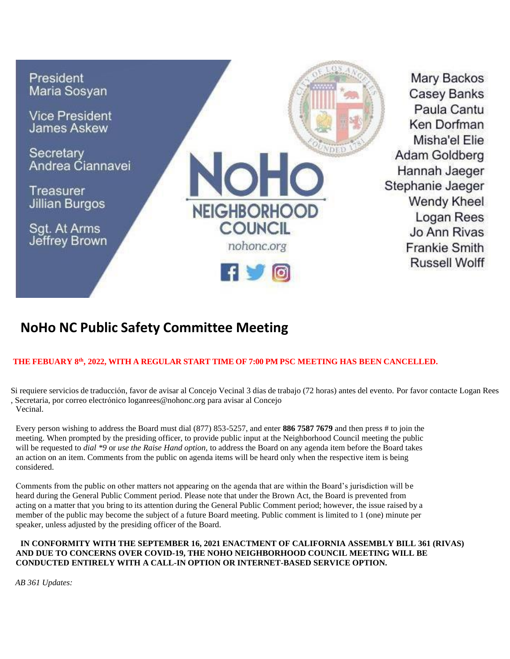

# **NoHo NC Public Safety Committee Meeting**

## **THE FEBUARY 8 th , 2022, WITH A REGULAR START TIME OF 7:00 PM PSC MEETING HAS BEEN CANCELLED.**

Si requiere servicios de traducción, favor de avisar al Concejo Vecinal 3 días de trabajo (72 horas) antes del evento. Por favor contacte Logan Rees , Secretaria, por correo electrónic[o loganrees@nohonc.org p](mailto:loganrees@nohonc.org)ara avisar al Concejo Vecinal.

Every person wishing to address the Board must dial (877) 853-5257, and enter **886 7587 7679** and then press # to join the meeting. When prompted by the presiding officer, to provide public input at the Neighborhood Council meeting the public will be requested to *dial \*9* or *use the Raise Hand option,* to address the Board on any agenda item before the Board takes an action on an item. Comments from the public on agenda items will be heard only when the respective item is being considered.

Comments from the public on other matters not appearing on the agenda that are within the Board's jurisdiction will be heard during the General Public Comment period. Please note that under the Brown Act, the Board is prevented from acting on a matter that you bring to its attention during the General Public Comment period; however, the issue raised by a member of the public may become the subject of a future Board meeting. Public comment is limited to 1 (one) minute per speaker, unless adjusted by the presiding officer of the Board.

#### **IN CONFORMITY WITH THE SEPTEMBER 16, 2021 ENACTMENT OF CALIFORNIA ASSEMBLY BILL 361 (RIVAS) AND DUE TO CONCERNS OVER COVID-19, THE NOHO NEIGHBORHOOD COUNCIL MEETING WILL BE CONDUCTED ENTIRELY WITH A CALL-IN OPTION OR INTERNET-BASED SERVICE OPTION.**

*AB 361 Updates:*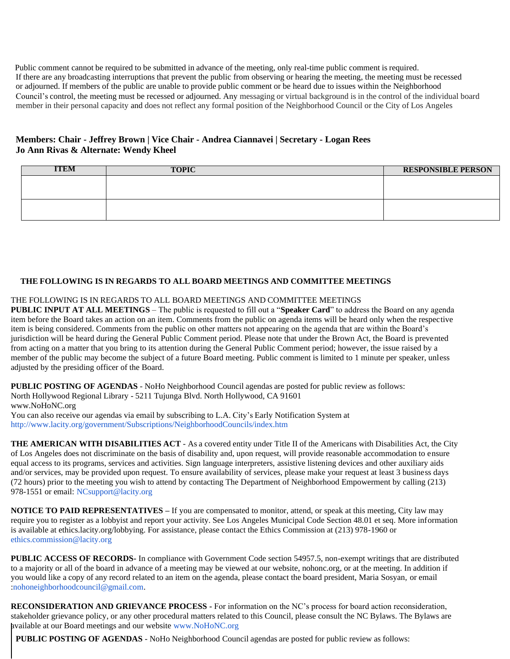Public comment cannot be required to be submitted in advance of the meeting, only real-time public comment is required. If there are any broadcasting interruptions that prevent the public from observing or hearing the meeting, the meeting must be recessed or adjourned. If members of the public are unable to provide public comment or be heard due to issues within the Neighborhood Council's control, the meeting must be recessed or adjourned. Any messaging or virtual background is in the control of the individual board member in their personal capacity and does not reflect any formal position of the Neighborhood Council or the City of Los Angeles

## **Members: Chair - Jeffrey Brown | Vice Chair - Andrea Ciannavei | Secretary - Logan Rees Jo Ann Rivas & Alternate: Wendy Kheel**

| <b>TEM</b> | <b>TOPIC</b> | <b>RESPONSIBLE PERSON</b> |
|------------|--------------|---------------------------|
|            |              |                           |
|            |              |                           |
|            |              |                           |
|            |              |                           |

### **THE FOLLOWING IS IN REGARDS TO ALL BOARD MEETINGS AND COMMITTEE MEETINGS**

THE FOLLOWING IS IN REGARDS TO ALL BOARD MEETINGS AND COMMITTEE MEETINGS

**PUBLIC INPUT AT ALL MEETINGS** – The public is requested to fill out a "**Speaker Card**" to address the Board on any agenda item before the Board takes an action on an item. Comments from the public on agenda items will be heard only when the respective item is being considered. Comments from the public on other matters not appearing on the agenda that are within the Board's jurisdiction will be heard during the General Public Comment period. Please note that under the Brown Act, the Board is prevented from acting on a matter that you bring to its attention during the General Public Comment period; however, the issue raised by a member of the public may become the subject of a future Board meeting. Public comment is limited to 1 minute per speaker, unless adjusted by the presiding officer of the Board.

**PUBLIC POSTING OF AGENDAS** - NoHo Neighborhood Council agendas are posted for public review as follows: North Hollywood Regional Library - 5211 Tujunga Blvd. North Hollywood, CA 91601 [www.NoHoNC.org](http://www.nohonc.org/) You can also receive our agendas via email by subscribing to L.A. City's Early Notification System at

<http://www.lacity.org/government/Subscriptions/NeighborhoodCouncils/index.htm>

**THE AMERICAN WITH DISABILITIES ACT** - As a covered entity under Title II of the Americans with Disabilities Act, the City of Los Angeles does not discriminate on the basis of disability and, upon request, will provide reasonable accommodation to ensure equal access to its programs, services and activities. Sign language interpreters, assistive listening devices and other auxiliary aids and/or services, may be provided upon request. To ensure availability of services, please make your request at least 3 business days (72 hours) prior to the meeting you wish to attend by contacting The Department of Neighborhood Empowerment by calling (213) 978-1551 or email: [NCsupport@lacity.org](mailto:NCsupport@lacity.org)

**NOTICE TO PAID REPRESENTATIVES –** If you are compensated to monitor, attend, or speak at this meeting, City law may require you to register as a lobbyist and report your activity. See Los Angeles Municipal Code Section 48.01 et seq. More information is available at ethics.lacity.org/lobbying. For assistance, please contact the Ethics Commission at (213) 978-1960 or [ethics.commission@lacity.org](mailto:ethics.commission@lacity.org)

**PUBLIC ACCESS OF RECORDS-** In compliance with Government Code section 54957.5, non-exempt writings that are distributed to a majority or all of the board in advance of a meeting may be viewed at our website, nohonc.org, or at the meeting. In addition if you would like a copy of any record related to an item on the agenda, please contact the board president, Maria Sosyan, or email [:nohoneighborhoodcouncil@gmail.com.](mailto:nohoneighborhoodcouncil@gmail.com)

**RECONSIDERATION AND GRIEVANCE PROCESS -** For information on the NC's process for board action reconsideration, stakeholder grievance policy, or any other procedural matters related to this Council, please consult the NC Bylaws. The Bylaws are available at our Board meetings and our website [www.NoHoNC.org](http://www.nohonc.org/)

**PUBLIC POSTING OF AGENDAS** - NoHo Neighborhood Council agendas are posted for public review as follows: